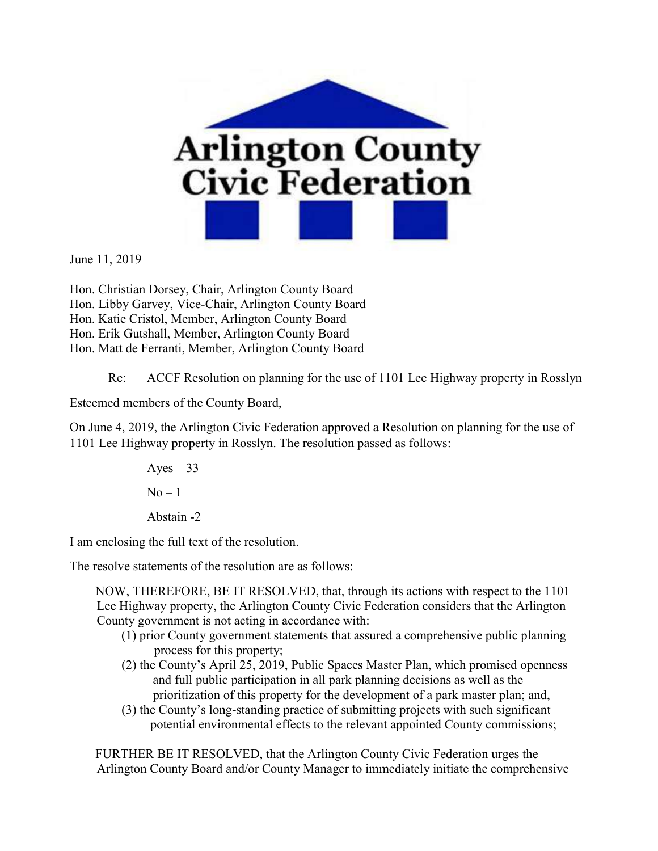

June 11, 2019

Hon. Christian Dorsey, Chair, Arlington County Board Hon. Libby Garvey, Vice-Chair, Arlington County Board Hon. Katie Cristol, Member, Arlington County Board Hon. Erik Gutshall, Member, Arlington County Board Hon. Matt de Ferranti, Member, Arlington County Board

Re: ACCF Resolution on planning for the use of 1101 Lee Highway property in Rosslyn

Esteemed members of the County Board,

On June 4, 2019, the Arlington Civic Federation approved a Resolution on planning for the use of 1101 Lee Highway property in Rosslyn. The resolution passed as follows:

> Ayes  $-33$  $No-1$ Abstain -2

I am enclosing the full text of the resolution.

The resolve statements of the resolution are as follows:

NOW, THEREFORE, BE IT RESOLVED, that, through its actions with respect to the 1101 Lee Highway property, the Arlington County Civic Federation considers that the Arlington County government is not acting in accordance with:

- (1) prior County government statements that assured a comprehensive public planning process for this property;
- (2) the County's April 25, 2019, Public Spaces Master Plan, which promised openness and full public participation in all park planning decisions as well as the prioritization of this property for the development of a park master plan; and,
- (3) the County's long-standing practice of submitting projects with such significant potential environmental effects to the relevant appointed County commissions;

FURTHER BE IT RESOLVED, that the Arlington County Civic Federation urges the Arlington County Board and/or County Manager to immediately initiate the comprehensive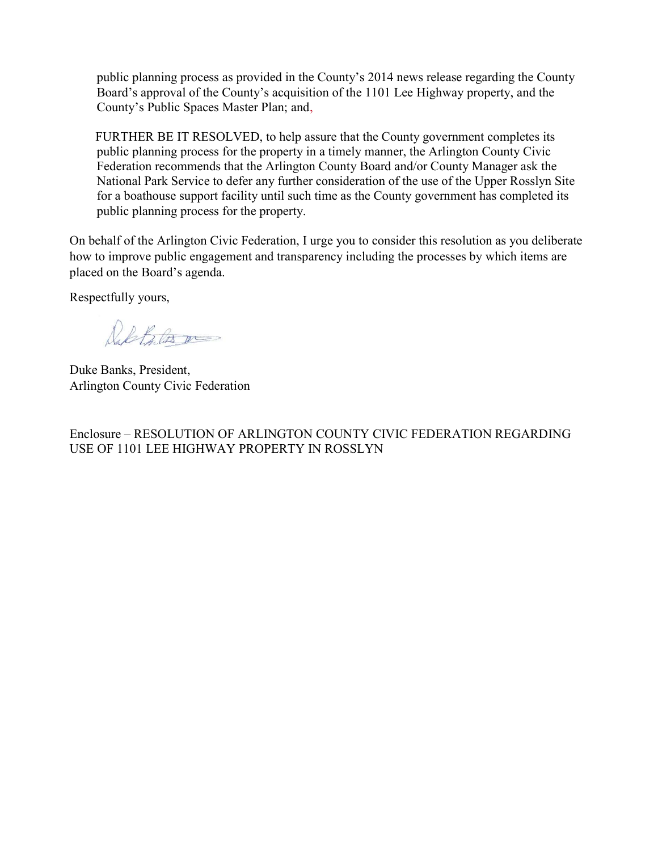public planning process as provided in the County's 2014 news release regarding the County Board's approval of the County's acquisition of the 1101 Lee Highway property, and the County's Public Spaces Master Plan; and,

FURTHER BE IT RESOLVED, to help assure that the County government completes its public planning process for the property in a timely manner, the Arlington County Civic Federation recommends that the Arlington County Board and/or County Manager ask the National Park Service to defer any further consideration of the use of the Upper Rosslyn Site for a boathouse support facility until such time as the County government has completed its public planning process for the property.

On behalf of the Arlington Civic Federation, I urge you to consider this resolution as you deliberate how to improve public engagement and transparency including the processes by which items are placed on the Board's agenda.

Respectfully yours,

Dal Bilos me

Duke Banks, President, Arlington County Civic Federation

Enclosure – RESOLUTION OF ARLINGTON COUNTY CIVIC FEDERATION REGARDING USE OF 1101 LEE HIGHWAY PROPERTY IN ROSSLYN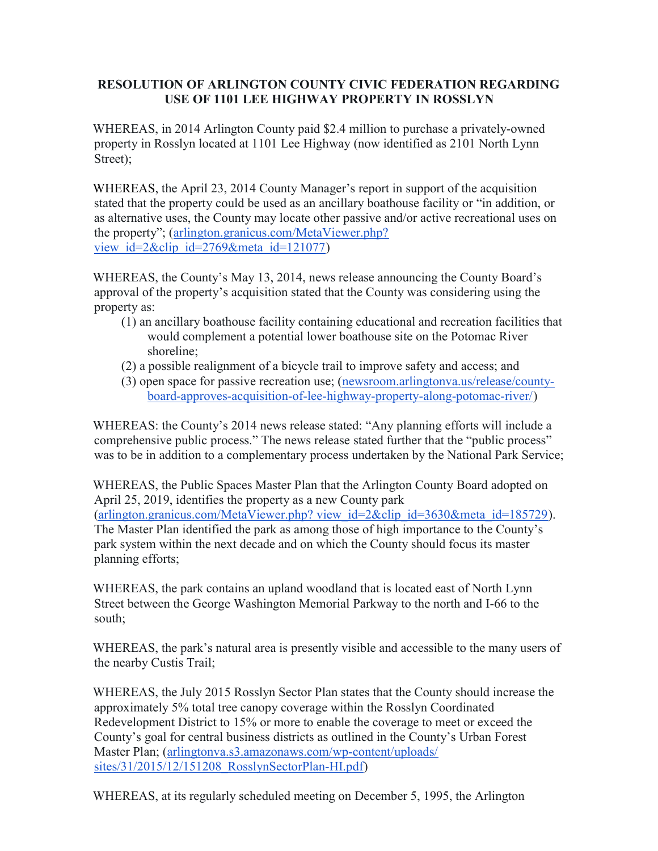## RESOLUTION OF ARLINGTON COUNTY CIVIC FEDERATION REGARDING USE OF 1101 LEE HIGHWAY PROPERTY IN ROSSLYN

WHEREAS, in 2014 Arlington County paid \$2.4 million to purchase a privately-owned property in Rosslyn located at 1101 Lee Highway (now identified as 2101 North Lynn Street);

WHEREAS, the April 23, 2014 County Manager's report in support of the acquisition stated that the property could be used as an ancillary boathouse facility or "in addition, or as alternative uses, the County may locate other passive and/or active recreational uses on the property"; (arlington.granicus.com/MetaViewer.php? view id= $2\&$ clip id= $2769\&$ meta id=121077)

WHEREAS, the County's May 13, 2014, news release announcing the County Board's approval of the property's acquisition stated that the County was considering using the property as:

- (1) an ancillary boathouse facility containing educational and recreation facilities that would complement a potential lower boathouse site on the Potomac River shoreline;
- (2) a possible realignment of a bicycle trail to improve safety and access; and
- (3) open space for passive recreation use; (newsroom.arlingtonva.us/release/countyboard-approves-acquisition-of-lee-highway-property-along-potomac-river/)

WHEREAS: the County's 2014 news release stated: "Any planning efforts will include a comprehensive public process." The news release stated further that the "public process" was to be in addition to a complementary process undertaken by the National Park Service;

WHEREAS, the Public Spaces Master Plan that the Arlington County Board adopted on April 25, 2019, identifies the property as a new County park (arlington.granicus.com/MetaViewer.php? view\_id=2&clip\_id=3630&meta\_id=185729). The Master Plan identified the park as among those of high importance to the County's park system within the next decade and on which the County should focus its master planning efforts;

WHEREAS, the park contains an upland woodland that is located east of North Lynn Street between the George Washington Memorial Parkway to the north and I-66 to the south;

WHEREAS, the park's natural area is presently visible and accessible to the many users of the nearby Custis Trail;

WHEREAS, the July 2015 Rosslyn Sector Plan states that the County should increase the approximately 5% total tree canopy coverage within the Rosslyn Coordinated Redevelopment District to 15% or more to enable the coverage to meet or exceed the County's goal for central business districts as outlined in the County's Urban Forest Master Plan; (arlingtonva.s3.amazonaws.com/wp-content/uploads/ sites/31/2015/12/151208\_RosslynSectorPlan-HI.pdf)

WHEREAS, at its regularly scheduled meeting on December 5, 1995, the Arlington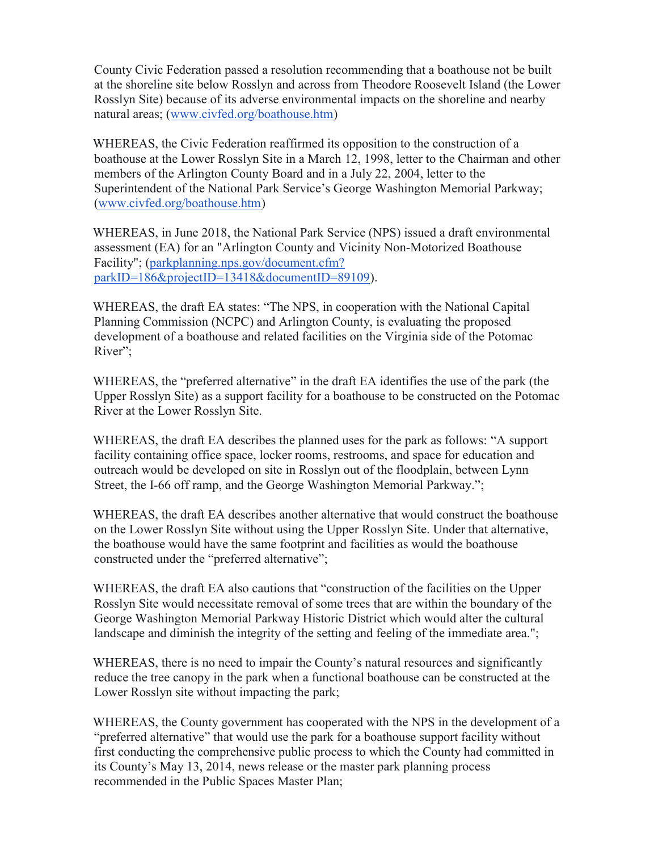County Civic Federation passed a resolution recommending that a boathouse not be built at the shoreline site below Rosslyn and across from Theodore Roosevelt Island (the Lower Rosslyn Site) because of its adverse environmental impacts on the shoreline and nearby natural areas; (www.civfed.org/boathouse.htm)

WHEREAS, the Civic Federation reaffirmed its opposition to the construction of a boathouse at the Lower Rosslyn Site in a March 12, 1998, letter to the Chairman and other members of the Arlington County Board and in a July 22, 2004, letter to the Superintendent of the National Park Service's George Washington Memorial Parkway; (www.civfed.org/boathouse.htm)

WHEREAS, in June 2018, the National Park Service (NPS) issued a draft environmental assessment (EA) for an "Arlington County and Vicinity Non-Motorized Boathouse Facility"; (parkplanning.nps.gov/document.cfm? parkID=186&projectID=13418&documentID=89109).

WHEREAS, the draft EA states: "The NPS, in cooperation with the National Capital Planning Commission (NCPC) and Arlington County, is evaluating the proposed development of a boathouse and related facilities on the Virginia side of the Potomac River":

WHEREAS, the "preferred alternative" in the draft EA identifies the use of the park (the Upper Rosslyn Site) as a support facility for a boathouse to be constructed on the Potomac River at the Lower Rosslyn Site.

WHEREAS, the draft EA describes the planned uses for the park as follows: "A support facility containing office space, locker rooms, restrooms, and space for education and outreach would be developed on site in Rosslyn out of the floodplain, between Lynn Street, the I-66 off ramp, and the George Washington Memorial Parkway.";

WHEREAS, the draft EA describes another alternative that would construct the boathouse on the Lower Rosslyn Site without using the Upper Rosslyn Site. Under that alternative, the boathouse would have the same footprint and facilities as would the boathouse constructed under the "preferred alternative";

WHEREAS, the draft EA also cautions that "construction of the facilities on the Upper Rosslyn Site would necessitate removal of some trees that are within the boundary of the George Washington Memorial Parkway Historic District which would alter the cultural landscape and diminish the integrity of the setting and feeling of the immediate area.";

WHEREAS, there is no need to impair the County's natural resources and significantly reduce the tree canopy in the park when a functional boathouse can be constructed at the Lower Rosslyn site without impacting the park;

WHEREAS, the County government has cooperated with the NPS in the development of a "preferred alternative" that would use the park for a boathouse support facility without first conducting the comprehensive public process to which the County had committed in its County's May 13, 2014, news release or the master park planning process recommended in the Public Spaces Master Plan;